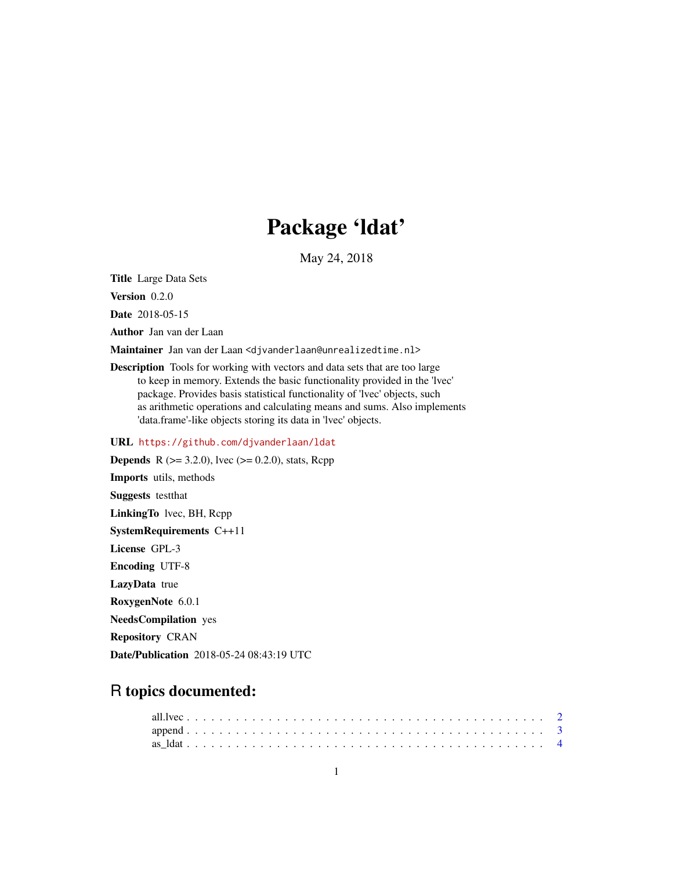# Package 'ldat'

May 24, 2018

<span id="page-0-0"></span>Title Large Data Sets

Version 0.2.0

Date 2018-05-15

Author Jan van der Laan

Maintainer Jan van der Laan <djvanderlaan@unrealizedtime.nl>

Description Tools for working with vectors and data sets that are too large to keep in memory. Extends the basic functionality provided in the 'lvec' package. Provides basis statistical functionality of 'lvec' objects, such as arithmetic operations and calculating means and sums. Also implements 'data.frame'-like objects storing its data in 'lvec' objects.

URL <https://github.com/djvanderlaan/ldat>

**Depends** R ( $>= 3.2.0$ ), lvec ( $>= 0.2.0$ ), stats, Rcpp Imports utils, methods Suggests testthat LinkingTo lvec, BH, Rcpp SystemRequirements C++11 License GPL-3 Encoding UTF-8 LazyData true RoxygenNote 6.0.1 NeedsCompilation yes Repository CRAN

Date/Publication 2018-05-24 08:43:19 UTC

# R topics documented: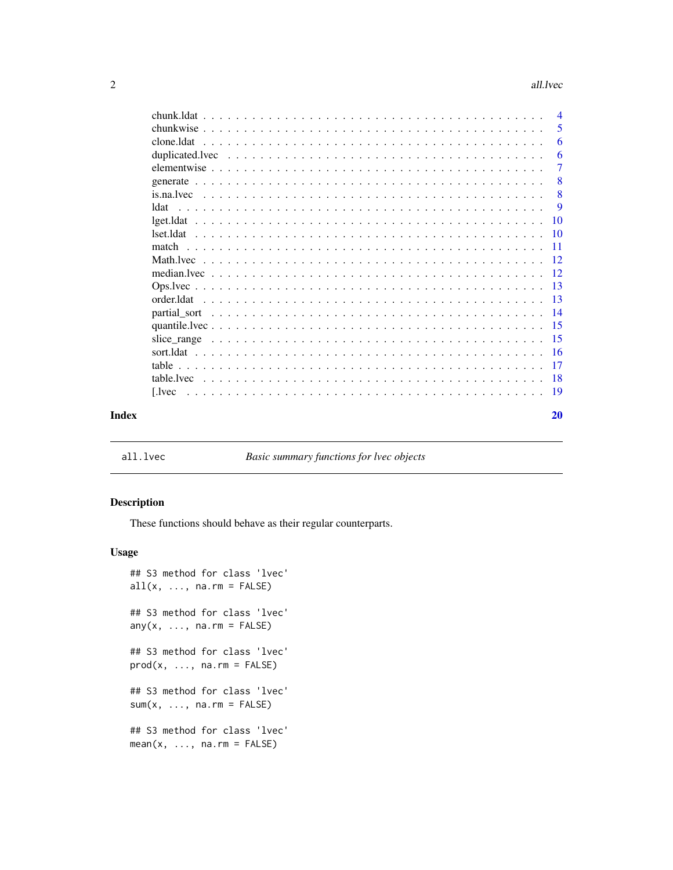#### <span id="page-1-0"></span>2 all the contract of the contract of the contract of the contract of the contract of the contract of the contract of the contract of the contract of the contract of the contract of the contract of the contract of the cont

|       |           | $\overline{4}$  |
|-------|-----------|-----------------|
|       |           | 5               |
|       |           | 6               |
|       |           | 6               |
|       |           | $\overline{7}$  |
|       |           | 8               |
|       |           | 8               |
|       | ldat      | -9              |
|       | lget.ldat | $\overline{10}$ |
|       |           |                 |
|       |           | -11             |
|       |           |                 |
|       |           |                 |
|       |           |                 |
|       |           |                 |
|       |           |                 |
|       |           |                 |
|       |           |                 |
|       |           |                 |
|       |           |                 |
|       |           |                 |
|       |           | - 19            |
| Index |           | 20              |

all.lvec *Basic summary functions for lvec objects*

#### <span id="page-1-1"></span>Description

These functions should behave as their regular counterparts.

#### Usage

```
## S3 method for class 'lvec'
all(x, ..., na.rm = FALSE)## S3 method for class 'lvec'
any(x, ..., na.rm = FALSE)## S3 method for class 'lvec'
prod(x, ..., na.rm = FALSE)## S3 method for class 'lvec'
sum(x, ..., na.rm = FALSE)## S3 method for class 'lvec'
mean(x, ..., na.rm = FALSE)
```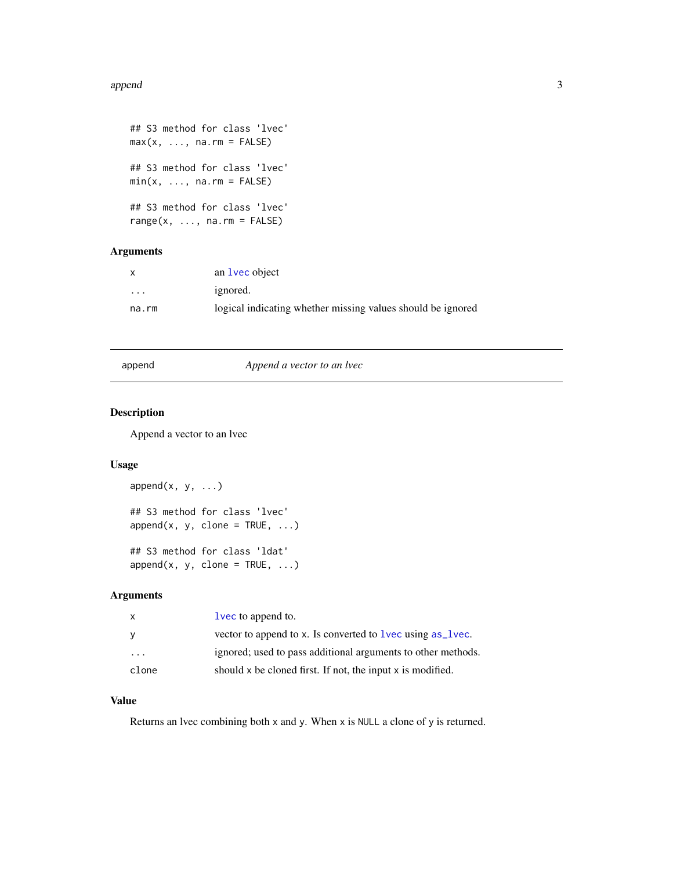#### <span id="page-2-0"></span>append 3

```
## S3 method for class 'lvec'
max(x, ..., na.rm = FALSE)## S3 method for class 'lvec'
min(x, ..., na.rm = FALSE)## S3 method for class 'lvec'
range(x, ..., na.rm = FALSE)
```
# Arguments

| $\mathsf{x}$ | an <b>lvec</b> object                                       |
|--------------|-------------------------------------------------------------|
| $\cdots$     | ignored.                                                    |
| na.rm        | logical indicating whether missing values should be ignored |

#### append *Append a vector to an lvec*

#### Description

Append a vector to an lvec

# Usage

```
append(x, y, ...)## S3 method for class 'lvec'
append(x, y, clone = TRUE, ...)## S3 method for class 'ldat'
append(x, y, clone = TRUE, ...)
```
# Arguments

| $\mathsf{x}$ | lvec to append to.                                                |
|--------------|-------------------------------------------------------------------|
| <b>V</b>     | vector to append to x. Is converted to <u>lvec</u> using as lvec. |
| .            | ignored; used to pass additional arguments to other methods.      |
| clone        | should x be cloned first. If not, the input x is modified.        |

# Value

Returns an lvec combining both x and y. When x is NULL a clone of y is returned.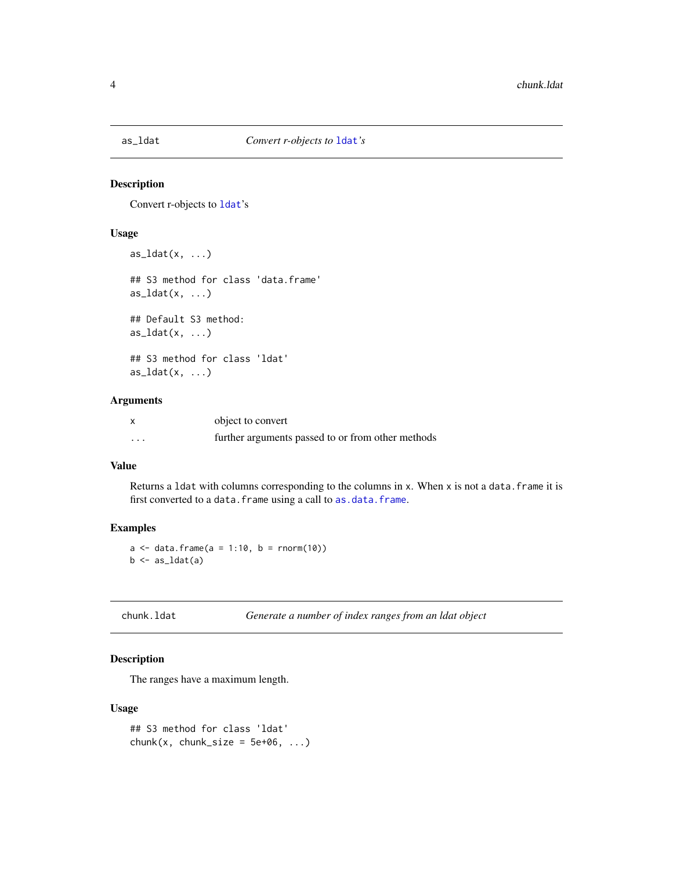<span id="page-3-0"></span>

Convert r-objects to [ldat](#page-8-1)'s

#### Usage

```
as\_ldat(x, \ldots)## S3 method for class 'data.frame'
as\_ldat(x, \ldots)## Default S3 method:
as_ldat(x, \ldots)## S3 method for class 'ldat'
as\_ldat(x, ...)
```
#### Arguments

|                         | object to convert                                 |
|-------------------------|---------------------------------------------------|
| $\cdot$ $\cdot$ $\cdot$ | further arguments passed to or from other methods |

# Value

Returns a 1dat with columns corresponding to the columns in x. When x is not a data. frame it is first converted to a data.frame using a call to [as.data.frame](#page-0-0).

# Examples

 $a \leq -$  data.frame( $a = 1:10$ ,  $b =$  rnorm(10))  $b \leftarrow as\_ldat(a)$ 

chunk.ldat *Generate a number of index ranges from an ldat object*

# Description

The ranges have a maximum length.

# Usage

```
## S3 method for class 'ldat'
chunk(x, chunk_size = 5e+06, ...)
```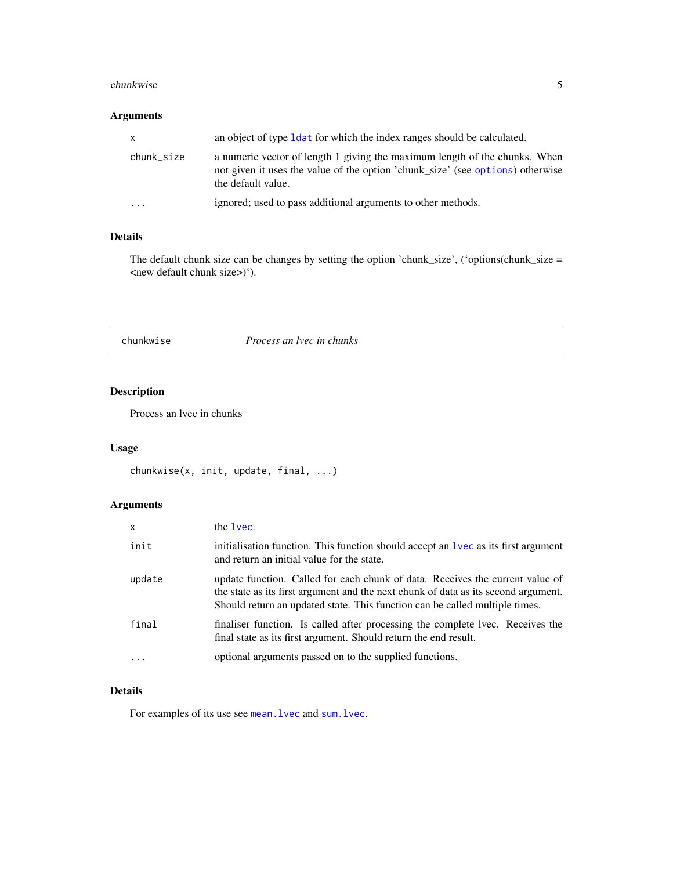#### <span id="page-4-0"></span>chunkwise 5

# Arguments

| X.         | an object of type 1 dat for which the index ranges should be calculated.                                                                                                           |
|------------|------------------------------------------------------------------------------------------------------------------------------------------------------------------------------------|
| chunk_size | a numeric vector of length 1 giving the maximum length of the chunks. When<br>not given it uses the value of the option 'chunk_size' (see options) otherwise<br>the default value. |
| $\ddotsc$  | ignored; used to pass additional arguments to other methods.                                                                                                                       |

# Details

The default chunk size can be changes by setting the option 'chunk\_size', ('options(chunk\_size = <new default chunk size>)').

# chunkwise *Process an lvec in chunks*

# Description

Process an lvec in chunks

# Usage

```
chunkwise(x, init, update, final, ...)
```
# Arguments

| x        | the lyec.                                                                                                                                                                                                                                          |  |
|----------|----------------------------------------------------------------------------------------------------------------------------------------------------------------------------------------------------------------------------------------------------|--|
| init     | initialisation function. This function should accept an 1 vec as its first argument<br>and return an initial value for the state.                                                                                                                  |  |
| update   | update function. Called for each chunk of data. Receives the current value of<br>the state as its first argument and the next chunk of data as its second argument.<br>Should return an updated state. This function can be called multiple times. |  |
| final    | finaliser function. Is called after processing the complete lvec. Receives the<br>final state as its first argument. Should return the end result.                                                                                                 |  |
| $\cdots$ | optional arguments passed on to the supplied functions.                                                                                                                                                                                            |  |

# Details

For examples of its use see mean. lvec and sum. lvec.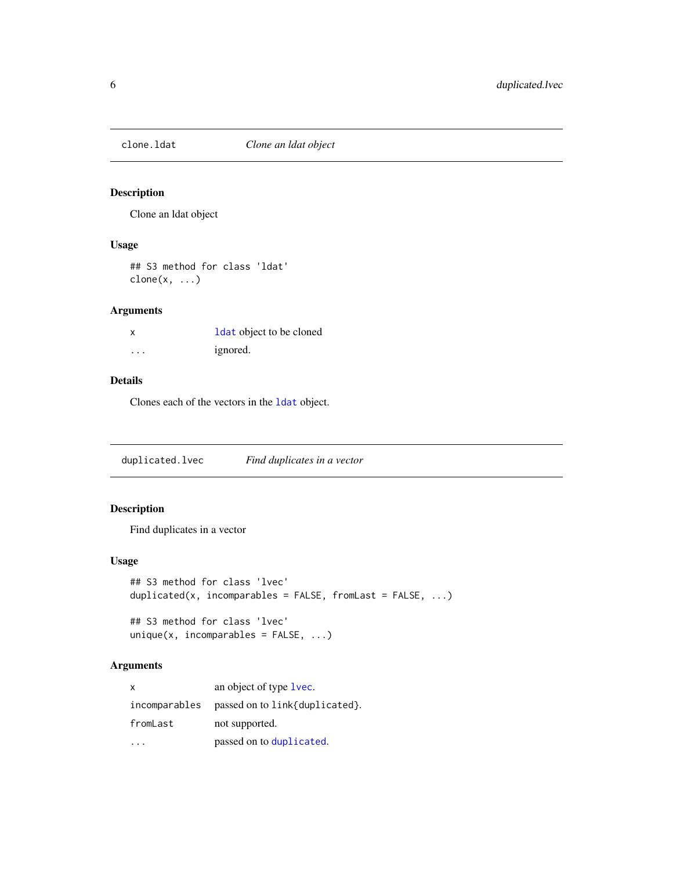<span id="page-5-0"></span>

Clone an ldat object

#### Usage

## S3 method for class 'ldat'  $clone(x, \ldots)$ 

# Arguments

|   | <b>ldat</b> object to be cloned |  |
|---|---------------------------------|--|
| . | ignored.                        |  |

# Details

Clones each of the vectors in the [ldat](#page-8-1) object.

duplicated.lvec *Find duplicates in a vector*

# Description

Find duplicates in a vector

# Usage

```
## S3 method for class 'lvec'
duplicated(x, incomparables = FALSE, fromLast = FALSE, ...)
```

```
## S3 method for class 'lvec'
unique(x, incomparables = FALSE, ...)
```
# Arguments

| X             | an object of type lvec.        |  |
|---------------|--------------------------------|--|
| incomparables | passed on to link{duplicated}. |  |
| fromLast      | not supported.                 |  |
|               | passed on to duplicated.       |  |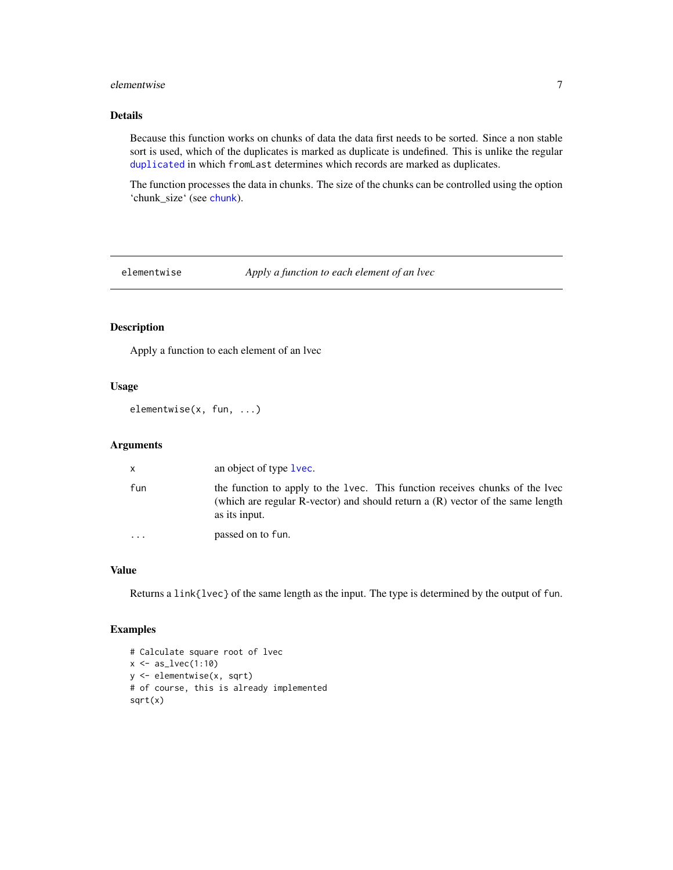#### <span id="page-6-0"></span>elementwise 7

# Details

Because this function works on chunks of data the data first needs to be sorted. Since a non stable sort is used, which of the duplicates is marked as duplicate is undefined. This is unlike the regular [duplicated](#page-0-0) in which fromLast determines which records are marked as duplicates.

The function processes the data in chunks. The size of the chunks can be controlled using the option 'chunk\_size' (see [chunk](#page-0-0)).

elementwise *Apply a function to each element of an lvec*

# Description

Apply a function to each element of an lvec

# Usage

elementwise(x, fun, ...)

#### Arguments

| $\mathsf{x}$ | an object of type lvec.                                                                                                                                                             |
|--------------|-------------------------------------------------------------------------------------------------------------------------------------------------------------------------------------|
| fun          | the function to apply to the 1 vec. This function receives chunks of the 1 vec<br>(which are regular R-vector) and should return a $(R)$ vector of the same length<br>as its input. |
| $\ddotsc$    | passed on to fun.                                                                                                                                                                   |

#### Value

Returns a link{lvec} of the same length as the input. The type is determined by the output of fun.

# Examples

```
# Calculate square root of lvec
x \leftarrow as\_lvec(1:10)y <- elementwise(x, sqrt)
# of course, this is already implemented
sqrt(x)
```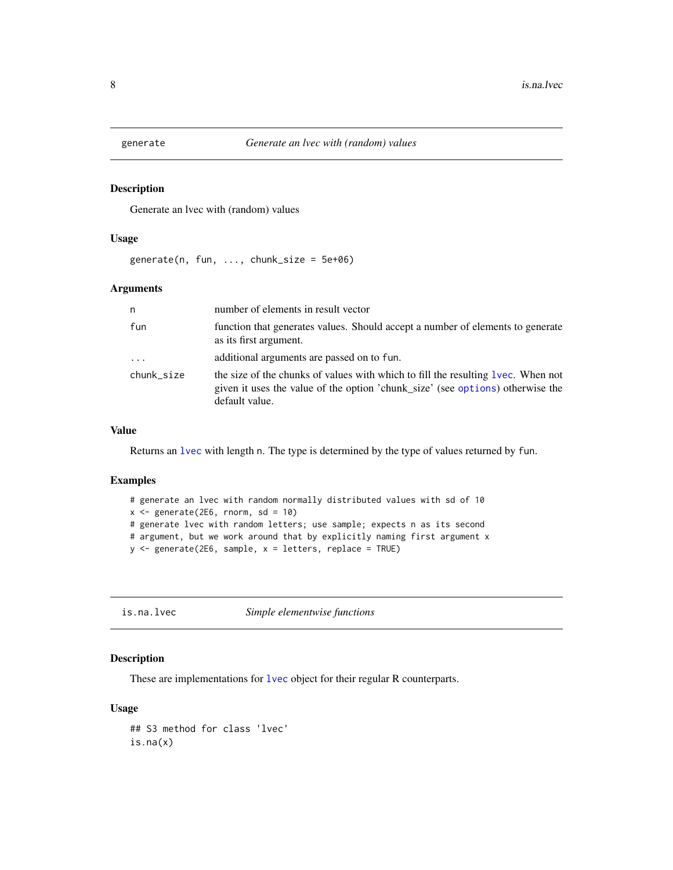<span id="page-7-0"></span>

Generate an lvec with (random) values

#### Usage

 $generate(n, fun, ..., chunk_size = 5e+06)$ 

#### Arguments

| n          | number of elements in result vector                                                                                                                                                   |
|------------|---------------------------------------------------------------------------------------------------------------------------------------------------------------------------------------|
| fun        | function that generates values. Should accept a number of elements to generate<br>as its first argument.                                                                              |
| $\cdots$   | additional arguments are passed on to fun.                                                                                                                                            |
| chunk size | the size of the chunks of values with which to fill the resulting 1 vec. When not<br>given it uses the value of the option 'chunk_size' (see options) otherwise the<br>default value. |

# Value

Returns an [lvec](#page-0-0) with length n. The type is determined by the type of values returned by fun.

#### Examples

```
# generate an lvec with random normally distributed values with sd of 10
x \leq generate(2E6, rnorm, sd = 10)
# generate lvec with random letters; use sample; expects n as its second
# argument, but we work around that by explicitly naming first argument x
y <- generate(2E6, sample, x = letters, replace = TRUE)
```
is.na.lvec *Simple elementwise functions*

#### Description

These are implementations for [lvec](#page-0-0) object for their regular R counterparts.

# Usage

## S3 method for class 'lvec' is.na(x)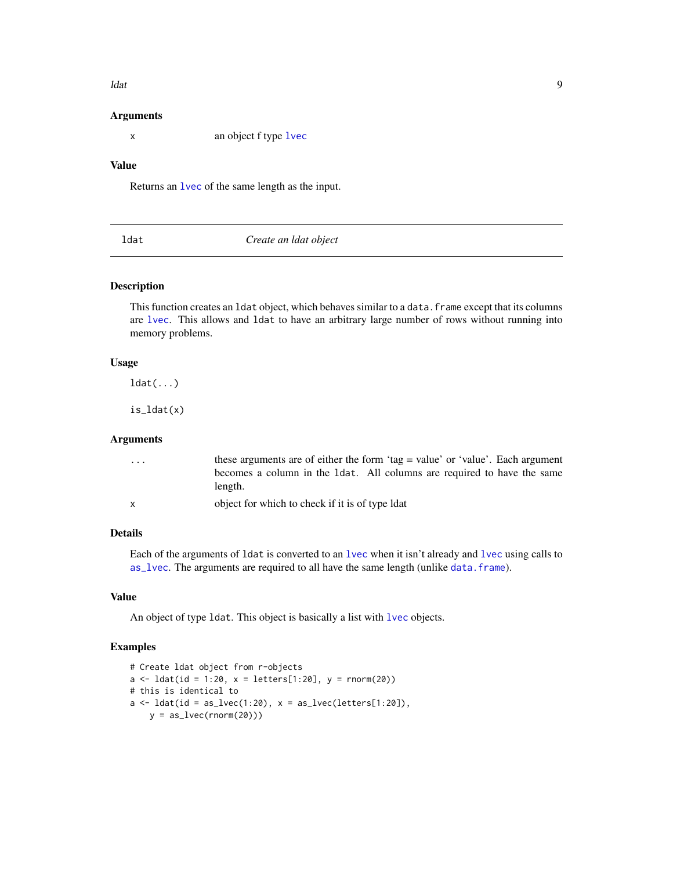#### <span id="page-8-0"></span>ldat **1988 1988 1988 1988 1988 1988 1988 1988 1998 1998 1998 1998 1998 1998 1998 1998**

#### Arguments

x an object f type [lvec](#page-0-0)

#### Value

Returns an [lvec](#page-0-0) of the same length as the input.

<span id="page-8-1"></span>

| ldat | Create an ldat object |  |
|------|-----------------------|--|
|------|-----------------------|--|

#### Description

This function creates an 1dat object, which behaves similar to a data. frame except that its columns are [lvec](#page-0-0). This allows and ldat to have an arbitrary large number of rows without running into memory problems.

#### Usage

ldat(...)

is\_ldat(x)

#### Arguments

| .            | these arguments are of either the form 'tag = value' or 'value'. Each argument |
|--------------|--------------------------------------------------------------------------------|
|              | becomes a column in the 1 dat. All columns are required to have the same       |
|              | length.                                                                        |
| $\mathsf{x}$ | object for which to check if it is of type ldat                                |

# Details

Each of the arguments of ldat is converted to an [lvec](#page-0-0) when it isn't already and [lvec](#page-0-0) using calls to [as\\_lvec](#page-0-0). The arguments are required to all have the same length (unlike [data.frame](#page-0-0)).

# Value

An object of type ldat. This object is basically a list with [lvec](#page-0-0) objects.

# Examples

```
# Create ldat object from r-objects
a \leq 1dat(id = 1:20, x = 1etters[1:20], y = \text{rnorm}(20))
# this is identical to
a \leftarrow \text{ldat}(\text{id} = \text{as\_lvec}(1:20), x = \text{as\_lvec}(letters[1:20]),y = as_{l}vec(rnorm(20))
```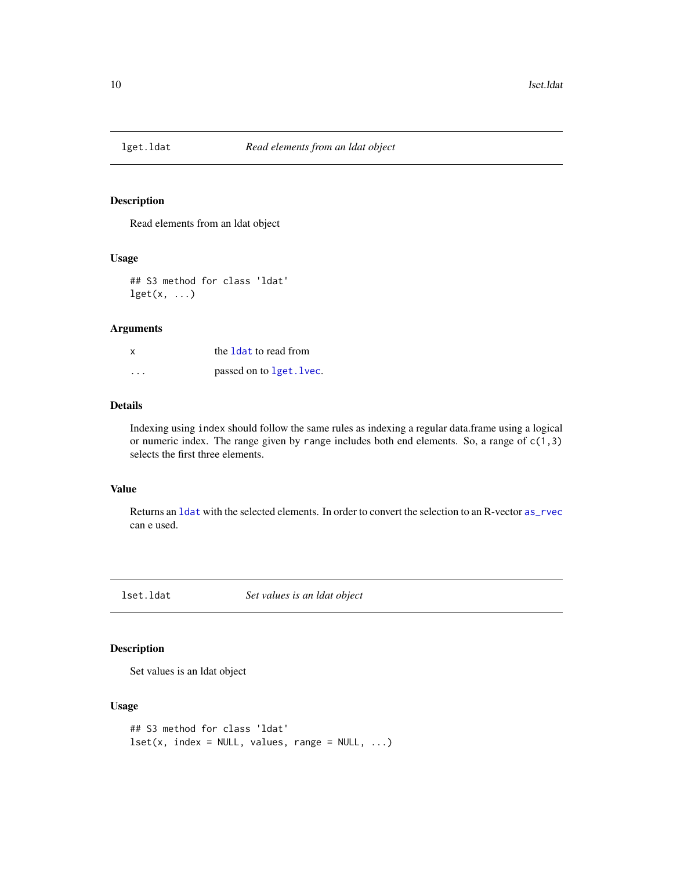<span id="page-9-0"></span>

Read elements from an ldat object

# Usage

## S3 method for class 'ldat'  $\text{lget}(x, \ldots)$ 

#### Arguments

| x                       | the 1 dat to read from   |
|-------------------------|--------------------------|
| $\cdot$ $\cdot$ $\cdot$ | passed on to 1get. 1vec. |

# Details

Indexing using index should follow the same rules as indexing a regular data.frame using a logical or numeric index. The range given by range includes both end elements. So, a range of  $c(1,3)$ selects the first three elements.

# Value

Returns an [ldat](#page-8-1) with the selected elements. In order to convert the selection to an R-vector [as\\_rvec](#page-0-0) can e used.

lset.ldat *Set values is an ldat object*

#### Description

Set values is an ldat object

# Usage

```
## S3 method for class 'ldat'
lest(x, index = NULL, values, range = NULL, ...)
```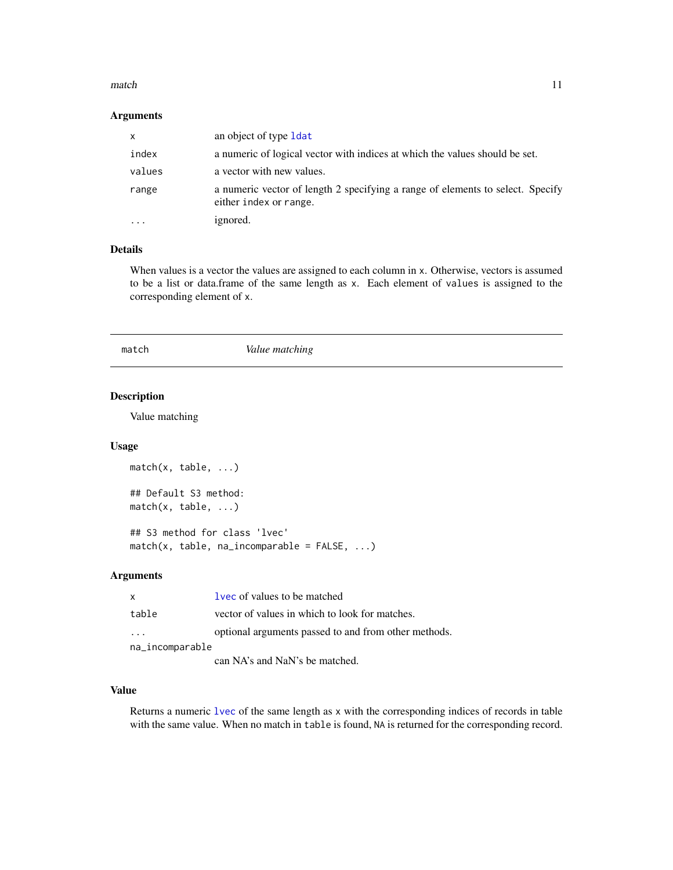#### <span id="page-10-0"></span>match the contract of the contract of the contract of the contract of the contract of the contract of the contract of the contract of the contract of the contract of the contract of the contract of the contract of the cont

#### Arguments

| $\mathsf{x}$ | an object of type 1 dat                                                                                  |
|--------------|----------------------------------------------------------------------------------------------------------|
| index        | a numeric of logical vector with indices at which the values should be set.                              |
| values       | a vector with new values.                                                                                |
| range        | a numeric vector of length 2 specifying a range of elements to select. Specify<br>either index or range. |
|              | ignored.                                                                                                 |

# Details

When values is a vector the values are assigned to each column in x. Otherwise, vectors is assumed to be a list or data.frame of the same length as x. Each element of values is assigned to the corresponding element of x.

#### match *Value matching*

# Description

Value matching

#### Usage

```
match(x, table, ...)
## Default S3 method:
match(x, table, ...)
## S3 method for class 'lvec'
match(x, table, na_incomparable = FALSE, ...)
```
#### Arguments

| X                       | <b>lvec</b> of values to be matched                  |
|-------------------------|------------------------------------------------------|
| table                   | vector of values in which to look for matches.       |
| $\cdot$ $\cdot$ $\cdot$ | optional arguments passed to and from other methods. |
| na_incomparable         |                                                      |
|                         | can NA's and NaN's be matched.                       |

# Value

Returns a numeric [lvec](#page-0-0) of the same length as x with the corresponding indices of records in table with the same value. When no match in table is found, NA is returned for the corresponding record.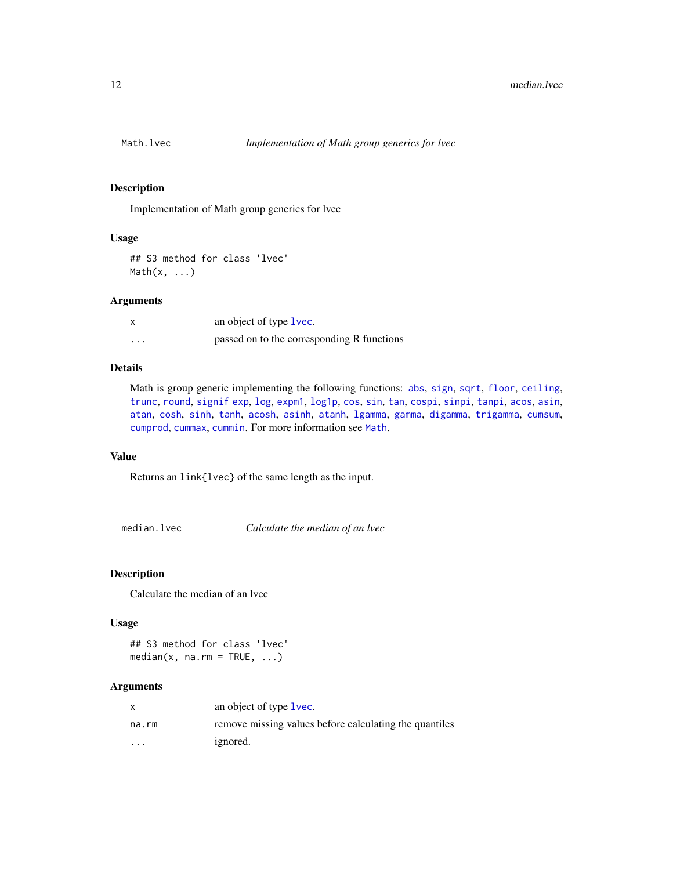<span id="page-11-0"></span>

Implementation of Math group generics for lvec

#### Usage

```
## S3 method for class 'lvec'
Math(x, \ldots)
```
#### Arguments

|         | an object of type lvec.                    |
|---------|--------------------------------------------|
| $\cdot$ | passed on to the corresponding R functions |

# Details

Math is group generic implementing the following functions: [abs](#page-0-0), [sign](#page-0-0), [sqrt](#page-0-0), [floor](#page-0-0), [ceiling](#page-0-0), [trunc](#page-0-0), [round](#page-0-0), [signif](#page-0-0) [exp](#page-0-0), [log](#page-0-0), [expm1](#page-0-0), [log1p](#page-0-0), [cos](#page-0-0), [sin](#page-0-0), [tan](#page-0-0), [cospi](#page-0-0), [sinpi](#page-0-0), [tanpi](#page-0-0), [acos](#page-0-0), [asin](#page-0-0), [atan](#page-0-0), [cosh](#page-0-0), [sinh](#page-0-0), [tanh](#page-0-0), [acosh](#page-0-0), [asinh](#page-0-0), [atanh](#page-0-0), [lgamma](#page-0-0), [gamma](#page-0-0), [digamma](#page-0-0), [trigamma](#page-0-0), [cumsum](#page-0-0), [cumprod](#page-0-0), [cummax](#page-0-0), [cummin](#page-0-0). For more information see [Math](#page-0-0).

# Value

Returns an link{lvec} of the same length as the input.

median.lvec *Calculate the median of an lvec*

#### Description

Calculate the median of an lvec

# Usage

## S3 method for class 'lvec'  $median(x, na.rm = TRUE, ...)$ 

#### Arguments

|                         | an object of type 1 vec.                               |
|-------------------------|--------------------------------------------------------|
| na.rm                   | remove missing values before calculating the quantiles |
| $\cdot$ $\cdot$ $\cdot$ | ignored.                                               |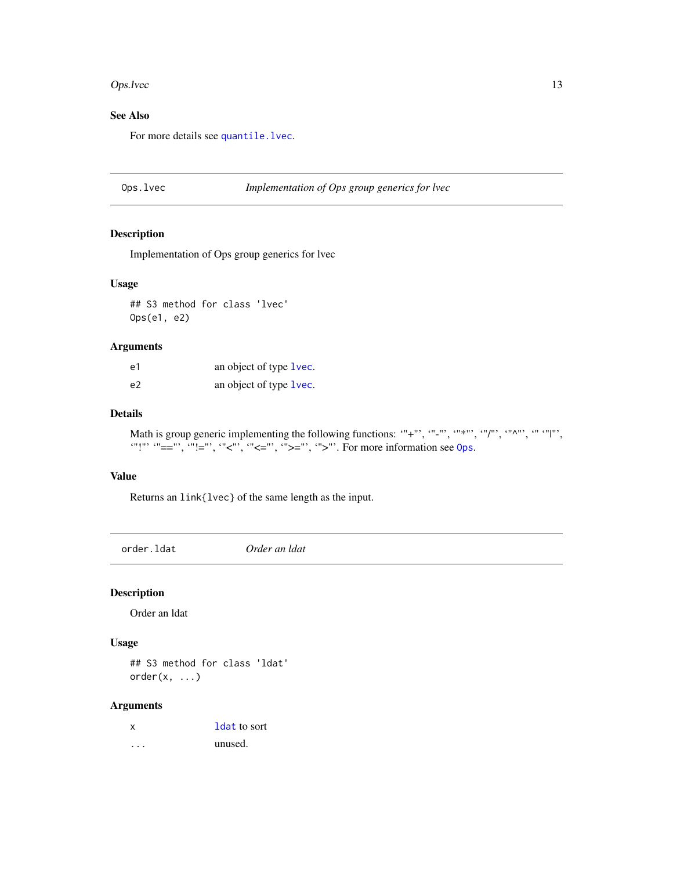#### <span id="page-12-0"></span>Ops.lvec 13

# See Also

For more details see [quantile.lvec](#page-14-1).

# Ops.lvec *Implementation of Ops group generics for lvec*

# Description

Implementation of Ops group generics for lvec

#### Usage

## S3 method for class 'lvec' Ops(e1, e2)

#### Arguments

| e1 | an object of type 1 vec. |
|----|--------------------------|
| e2 | an object of type lvec.  |

#### Details

Math is group generic implementing the following functions: "+"', "-"', '"\*"', '"/"', '"^"', '"''"', "":"  $" == "$ , " $! = "$ , " $\lt" :: "$ , " $\lt" :: " \lt" :: " > " > = "$ , " $\gt" :: "$ . For more information see [Ops](#page-0-0).

#### Value

Returns an link{lvec} of the same length as the input.

order.ldat *Order an ldat*

# Description

Order an ldat

#### Usage

## S3 method for class 'ldat'  $order(x, \ldots)$ 

# Arguments

| x | 1 dat to sort |
|---|---------------|
|   | unused.       |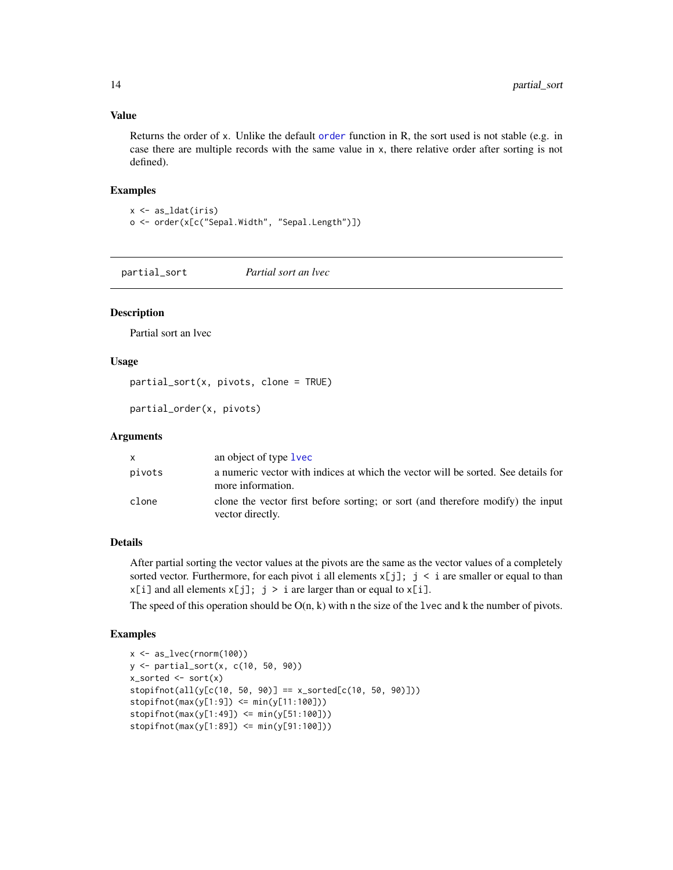#### Value

Returns the order of x. Unlike the default [order](#page-0-0) function in R, the sort used is not stable (e.g. in case there are multiple records with the same value in x, there relative order after sorting is not defined).

#### Examples

```
x <- as_ldat(iris)
o <- order(x[c("Sepal.Width", "Sepal.Length")])
```
<span id="page-13-1"></span>partial\_sort *Partial sort an lvec*

#### **Description**

Partial sort an lvec

# Usage

partial\_sort(x, pivots, clone = TRUE)

partial\_order(x, pivots)

#### Arguments

|        | an object of type 1 vec                                                                                |
|--------|--------------------------------------------------------------------------------------------------------|
| pivots | a numeric vector with indices at which the vector will be sorted. See details for<br>more information. |
| clone  | clone the vector first before sorting; or sort (and therefore modify) the input<br>vector directly.    |

# Details

After partial sorting the vector values at the pivots are the same as the vector values of a completely sorted vector. Furthermore, for each pivot i all elements  $x[j]$ ; j < i are smaller or equal to than  $x[i]$  and all elements  $x[j]$ ;  $j > i$  are larger than or equal to  $x[i]$ .

The speed of this operation should be  $O(n, k)$  with n the size of the lvec and k the number of pivots.

# Examples

```
x \leftarrow as\_lvec(rnorm(100))y <- partial_sort(x, c(10, 50, 90))
x_sorted \leq - sort(x)stopifnot(all(y[c(10, 50, 90)] == x_sorted[c(10, 50, 90)]))stopifnot(max(y[1:9]) \leq min(y[11:100]))stopifnot(max(y[1:49]) <= min(y[51:100]))
stopifnot(max(y[1:89]) \leq min(y[91:100]))
```
<span id="page-13-0"></span>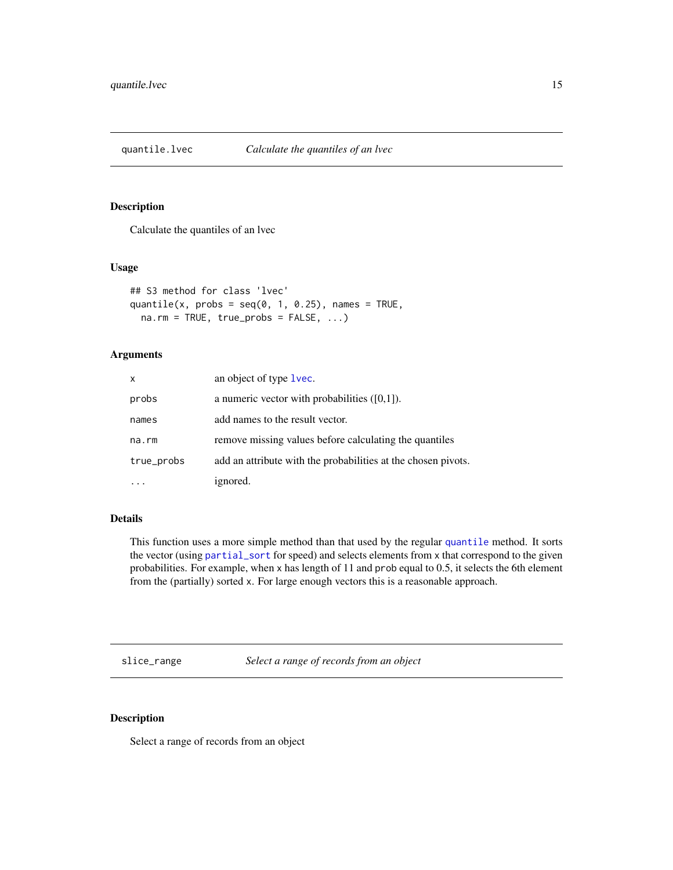<span id="page-14-1"></span><span id="page-14-0"></span>quantile.lvec *Calculate the quantiles of an lvec*

#### Description

Calculate the quantiles of an lvec

# Usage

```
## S3 method for class 'lvec'
quantile(x, probs = seq(0, 1, 0.25), names = TRUE,
 na.rm = TRUE, true\_probs = FALSE, ...)
```
# Arguments

| $\mathsf{x}$ | an object of type lvec.                                       |
|--------------|---------------------------------------------------------------|
| probs        | a numeric vector with probabilities $([0,1])$ .               |
| names        | add names to the result vector.                               |
| na.rm        | remove missing values before calculating the quantiles        |
| true_probs   | add an attribute with the probabilities at the chosen pivots. |
|              | ignored.                                                      |

# Details

This function uses a more simple method than that used by the regular [quantile](#page-0-0) method. It sorts the vector (using [partial\\_sort](#page-13-1) for speed) and selects elements from x that correspond to the given probabilities. For example, when x has length of 11 and prob equal to 0.5, it selects the 6th element from the (partially) sorted x. For large enough vectors this is a reasonable approach.

slice\_range *Select a range of records from an object*

# Description

Select a range of records from an object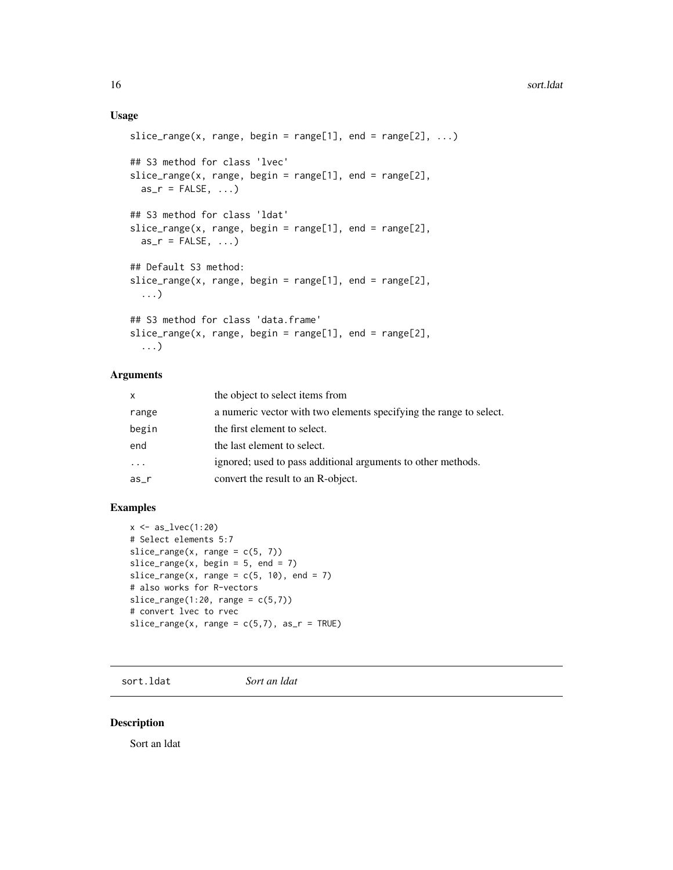# <span id="page-15-0"></span>Usage

```
slice_range(x, range, begin = range[1], end = range[2], ...)
## S3 method for class 'lvec'
slice\_range(x, range, begin = range[1], end = range[2],as_r = FALSE, ...)## S3 method for class 'ldat'
slice_range(x, range, begin = range[1], end = range[2],
 as_r = FALSE, ...## Default S3 method:
slice_range(x, range, begin = range[1], end = range[2],
  ...)
## S3 method for class 'data.frame'
slice_range(x, range, begin = range[1], end = range[2],
  ...)
```
# Arguments

| $\mathsf{x}$ | the object to select items from                                    |
|--------------|--------------------------------------------------------------------|
| range        | a numeric vector with two elements specifying the range to select. |
| begin        | the first element to select.                                       |
| end          | the last element to select.                                        |
| $\cdot$      | ignored; used to pass additional arguments to other methods.       |
| as           | convert the result to an R-object.                                 |

# Examples

```
x \leftarrow as\_lvec(1:20)# Select elements 5:7
slice_range(x, range = c(5, 7))slice_range(x, begin = 5, end = 7)
slice_range(x, range = c(5, 10), end = 7)
# also works for R-vectors
slice_range(1:20, range = c(5,7))
# convert lvec to rvec
slice_range(x, range = c(5,7), as_r = TRUE)
```
sort.ldat *Sort an ldat*

#### Description

Sort an ldat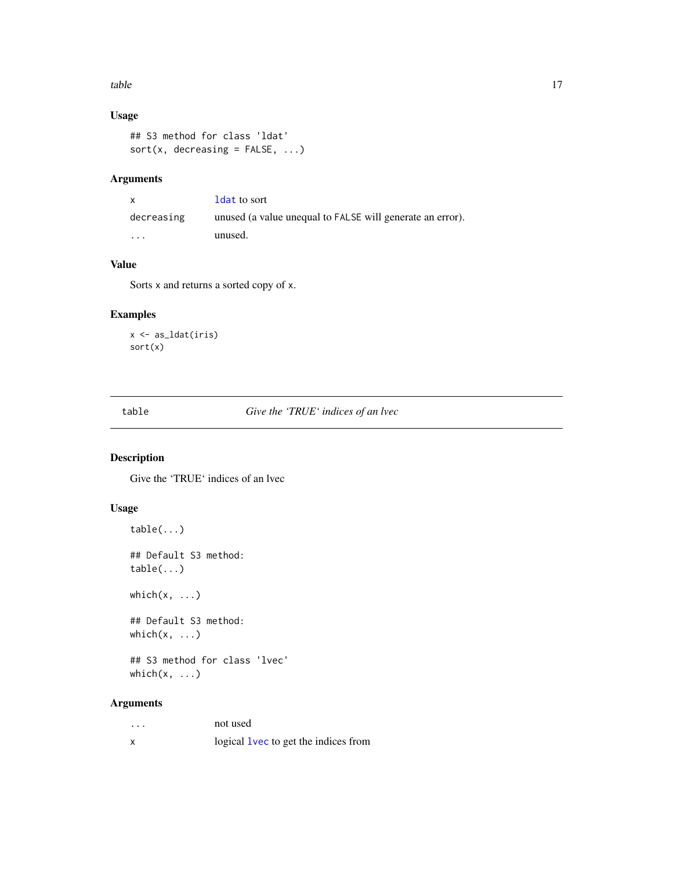#### <span id="page-16-0"></span>table the contract of the contract of the contract of the contract of the contract of the contract of the contract of the contract of the contract of the contract of the contract of the contract of the contract of the cont

# Usage

```
## S3 method for class 'ldat'
sort(x, decreasing = FALSE, ...)
```
# Arguments

| $\mathsf{x}$            | <b>ldat to sort</b>                                       |
|-------------------------|-----------------------------------------------------------|
| decreasing              | unused (a value unequal to FALSE will generate an error). |
| $\cdot$ $\cdot$ $\cdot$ | unused.                                                   |

#### Value

Sorts x and returns a sorted copy of x.

# Examples

x <- as\_ldat(iris) sort(x)

<span id="page-16-1"></span>table *Give the 'TRUE' indices of an lvec*

# Description

Give the 'TRUE' indices of an lvec

# Usage

```
table(...)
## Default S3 method:
table(...)
which(x, \ldots)## Default S3 method:
which(x, \ldots)
```
## S3 method for class 'lvec' which $(x, \ldots)$ 

# Arguments

| . | not used                                    |
|---|---------------------------------------------|
| x | logical <b>lvec</b> to get the indices from |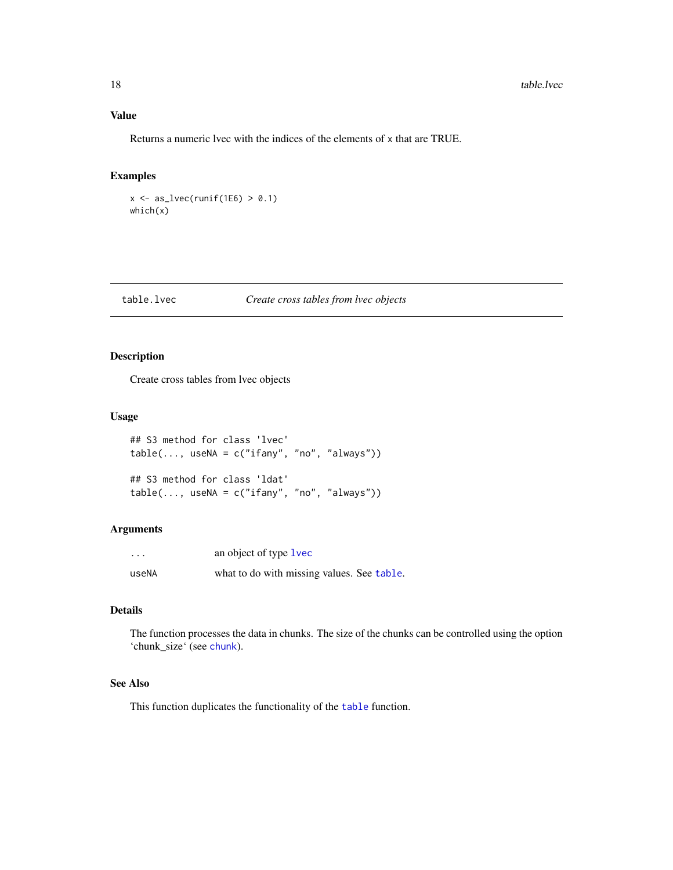<span id="page-17-0"></span>Returns a numeric lvec with the indices of the elements of x that are TRUE.

#### Examples

 $x \leftarrow as\_lvec(runif(1E6) > 0.1)$ which(x)

# table.lvec *Create cross tables from lvec objects*

# Description

Create cross tables from lvec objects

#### Usage

```
## S3 method for class 'lvec'
table(..., useNA = c("ifany", "no", "always"))## S3 method for class 'ldat'
table(..., useNA = c("ifany", "no", "always"))
```
# Arguments

| $\cdots$ | an object of type lvec                     |  |
|----------|--------------------------------------------|--|
| useNA    | what to do with missing values. See table. |  |

# Details

The function processes the data in chunks. The size of the chunks can be controlled using the option 'chunk\_size' (see [chunk](#page-0-0)).

# See Also

This function duplicates the functionality of the [table](#page-16-1) function.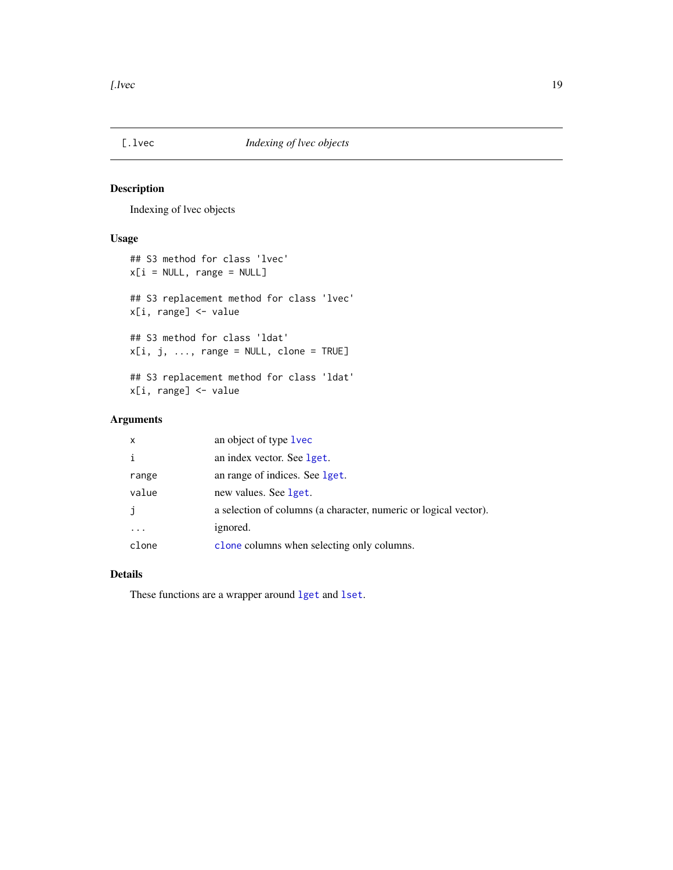<span id="page-18-0"></span>

Indexing of lvec objects

# Usage

```
## S3 method for class 'lvec'
x[i = NULL, range = NULL]## S3 replacement method for class 'lvec'
x[i, range] <- value
## S3 method for class 'ldat'
x[i, j, ..., range = NULL, clone = TRUE]## S3 replacement method for class 'ldat'
x[i, range] <- value
```
# Arguments

| x     | an object of type <b>lvec</b>                                    |
|-------|------------------------------------------------------------------|
| i     | an index vector. See lget.                                       |
| range | an range of indices. See lget.                                   |
| value | new values. See lget.                                            |
| j     | a selection of columns (a character, numeric or logical vector). |
|       | ignored.                                                         |
| clone | clone columns when selecting only columns.                       |

#### Details

These functions are a wrapper around [lget](#page-0-0) and [lset](#page-0-0).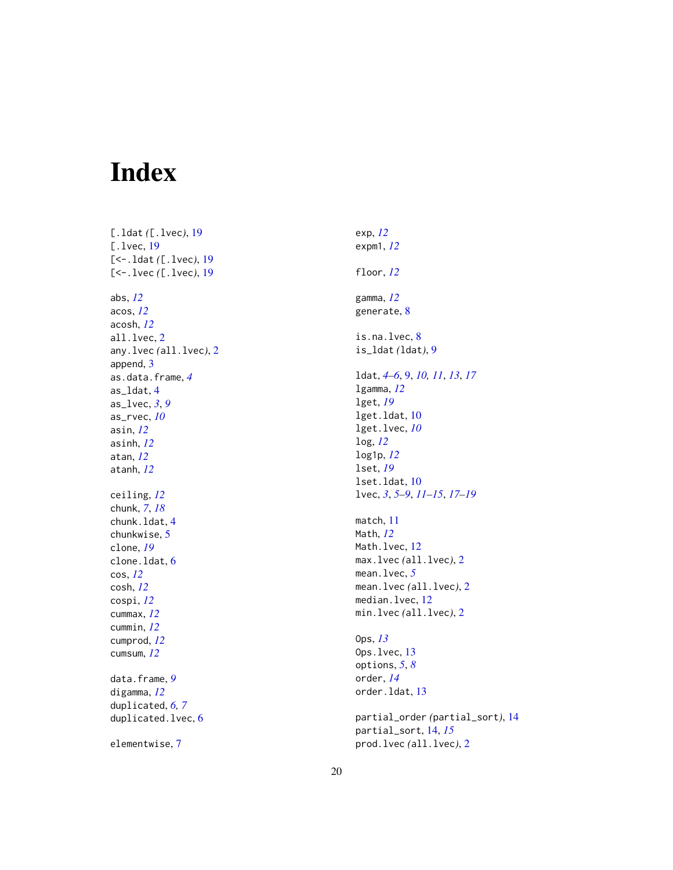# <span id="page-19-0"></span>Index

[.ldat *(*[.lvec *)* , [19](#page-18-0) [.1vec, [19](#page-18-0) [<-.ldat *(*[.lvec *)* , [19](#page-18-0) [<-.lvec *(*[.lvec *)* , [19](#page-18-0) abs , *[12](#page-11-0)* acos , *[12](#page-11-0)* acosh , *[12](#page-11-0)* all.lvec , [2](#page-1-0) any.lvec *(*all.lvec *)* , [2](#page-1-0) append, [3](#page-2-0) as.data.frame , *[4](#page-3-0)* as\_ldat , [4](#page-3-0) as\_lvec , *[3](#page-2-0)* , *[9](#page-8-0)* as\_rvec , *[10](#page-9-0)* asin , *[12](#page-11-0)* asinh , *[12](#page-11-0)* atan , *[12](#page-11-0)* atanh , *[12](#page-11-0)* ceiling , *[12](#page-11-0)* chunk , *[7](#page-6-0)* , *[18](#page-17-0)* chunk.ldat , [4](#page-3-0) chunkwise , [5](#page-4-0) clone , *[19](#page-18-0)* clone.ldat, [6](#page-5-0) cos , *[12](#page-11-0)* cosh , *[12](#page-11-0)* cospi , *[12](#page-11-0)* cummax , *[12](#page-11-0)* cummin , *[12](#page-11-0)* cumprod , *[12](#page-11-0)* cumsum , *[12](#page-11-0)* data.frame , *[9](#page-8-0)* digamma , *[12](#page-11-0)* duplicated , *[6,](#page-5-0) [7](#page-6-0)* duplicated.lvec, [6](#page-5-0) elementwise , [7](#page-6-0)

exp , *[12](#page-11-0)* expm1 , *[12](#page-11-0)* floor , *[12](#page-11-0)* gamma , *[12](#page-11-0)* generate , [8](#page-7-0) is.na.lvec, [8](#page-7-0) is\_ldat *(*ldat *)* , [9](#page-8-0) ldat , *[4](#page-3-0) – [6](#page-5-0)* , [9](#page-8-0) , *[10](#page-9-0) , [11](#page-10-0)* , *[13](#page-12-0)* , *[17](#page-16-0)* lgamma , *[12](#page-11-0)* lget , *[19](#page-18-0)* lget.ldat , [10](#page-9-0) lget.lvec , *[10](#page-9-0)* log , *[12](#page-11-0)* log1p , *[12](#page-11-0)* lset , *[19](#page-18-0)* lset.ldat , [10](#page-9-0) lvec , *[3](#page-2-0)* , *[5](#page-4-0) – [9](#page-8-0)* , *[11](#page-10-0) [–15](#page-14-0)* , *[17](#page-16-0)[–19](#page-18-0)* match , [11](#page-10-0) Math , *[12](#page-11-0)* Math.lvec, [12](#page-11-0) max.lvec *(*all.lvec *)* , [2](#page-1-0) mean.lvec , *[5](#page-4-0)* mean.lvec *(*all.lvec *)* , [2](#page-1-0) median.lvec, [12](#page-11-0) min.lvec *(*all.lvec *)* , [2](#page-1-0) Ops , *[13](#page-12-0)* 0ps.lvec, [13](#page-12-0) options , *[5](#page-4-0)* , *[8](#page-7-0)* order , *[14](#page-13-0)* order.ldat , [13](#page-12-0) partial\_order *(*partial\_sort *)* , [14](#page-13-0) partial\_sort , [14](#page-13-0) , *[15](#page-14-0)* prod.lvec *(*all.lvec *)* , [2](#page-1-0)